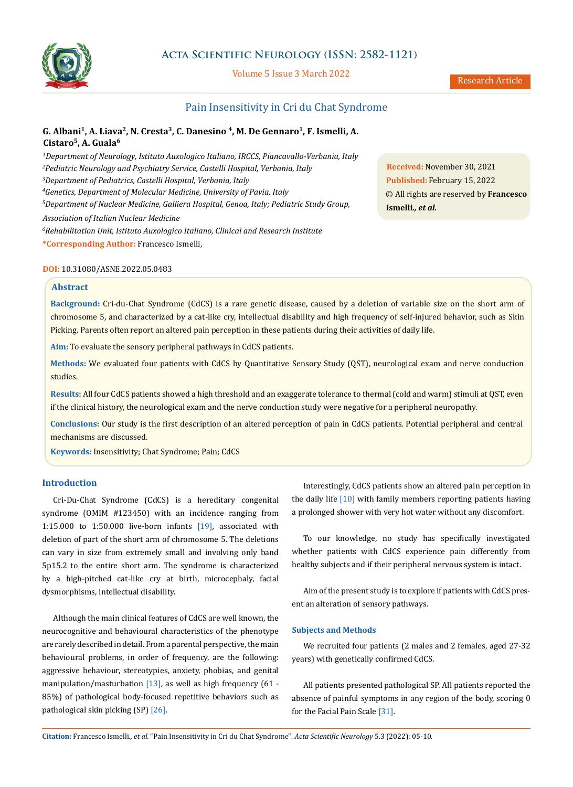

# **Acta Scientific Neurology (ISSN: 2582-1121)**

Volume 5 Issue 3 March 2022

# Pain Insensitivity in Cri du Chat Syndrome

## **G. Albani<sup>1</sup> , A. Liava<sup>2</sup> , N. Cresta<sup>3</sup> , C. Danesino <sup>4</sup> , M. De Gennaro<sup>1</sup> , F. Ismelli, A. Cistaro<sup>5</sup> , A. Guala<sup>6</sup>**

*Department of Neurology, Istituto Auxologico Italiano, IRCCS, Piancavallo-Verbania, Italy Pediatric Neurology and Psychiatry Service, Castelli Hospital, Verbania, Italy Department of Pediatrics, Castelli Hospital, Verbania, Italy Genetics, Department of Molecular Medicine, University of Pavia, Italy Department of Nuclear Medicine, Galliera Hospital, Genoa, Italy; Pediatric Study Group,* 

*Association of Italian Nuclear Medicine*

*<sup>6</sup>Rehabilitation Unit, Istituto Auxologico Italiano, Clinical and Research Institute* **\*Corresponding Author:** Francesco Ismelli, Rehabilitation Unit, Istituto Auxologico Italiano, Clinical and Research Institute 28922 Verbania, Italy. **DOI:** [10.31080/ASNE.2022.05.0483](https://actascientific.com/ASNE/pdf/ASNE-05-0483.pdf)

**Abstract**

**Background:** Cri-du-Chat Syndrome (CdCS) is a rare genetic disease, caused by a deletion of variable size on the short arm of chromosome 5, and characterized by a cat-like cry, intellectual disability and high frequency of self-injured behavior, such as Skin Picking. Parents often report an altered pain perception in these patients during their activities of daily life.

**Aim:** To evaluate the sensory peripheral pathways in CdCS patients.

**Methods:** We evaluated four patients with CdCS by Quantitative Sensory Study (QST), neurological exam and nerve conduction studies.

**Results:** All four CdCS patients showed a high threshold and an exaggerate tolerance to thermal (cold and warm) stimuli at QST, even if the clinical history, the neurological exam and the nerve conduction study were negative for a peripheral neuropathy.

**Conclusions:** Our study is the first description of an altered perception of pain in CdCS patients. Potential peripheral and central mechanisms are discussed.

**Keywords:** Insensitivity; Chat Syndrome; Pain; CdCS

### **Introduction**

Cri-Du-Chat Syndrome (CdCS) is a hereditary congenital syndrome (OMIM #123450) with an incidence ranging from 1:15.000 to 1:50.000 live-born infants [19]*,* associated with deletion of part of the short arm of chromosome 5. The deletions can vary in size from extremely small and involving only band 5p15.2 to the entire short arm. The syndrome is characterized by a high-pitched cat-like cry at birth, microcephaly, facial dysmorphisms, intellectual disability.

Although the main clinical features of CdCS are well known, the neurocognitive and behavioural characteristics of the phenotype are rarely described in detail. From a parental perspective, the main behavioural problems, in order of frequency, are the following: aggressive behaviour, stereotypies, anxiety, phobias, and genital manipulation/masturbation [13]*,* as well as high frequency (61 - 85%) of pathological body-focused repetitive behaviors such as pathological skin picking (SP) [26]*.*

Interestingly, CdCS patients show an altered pain perception in the daily life [10] with family members reporting patients having a prolonged shower with very hot water without any discomfort.

To our knowledge, no study has specifically investigated whether patients with CdCS experience pain differently from healthy subjects and if their peripheral nervous system is intact.

Aim of the present study is to explore if patients with CdCS present an alteration of sensory pathways.

#### **Subjects and Methods**

We recruited four patients (2 males and 2 females, aged 27-32 years) with genetically confirmed CdCS.

All patients presented pathological SP. All patients reported the absence of painful symptoms in any region of the body, scoring 0 for the Facial Pain Scale [31]*.*

**Citation:** Francesco Ismelli*., et al.* "Pain Insensitivity in Cri du Chat Syndrome". *Acta Scientific Neurology* 5.3 (2022): 05-10.

**Received:** November 30, 2021 **Published:** February 15, 2022 © All rights are reserved by **Francesco Ismelli***., et al.*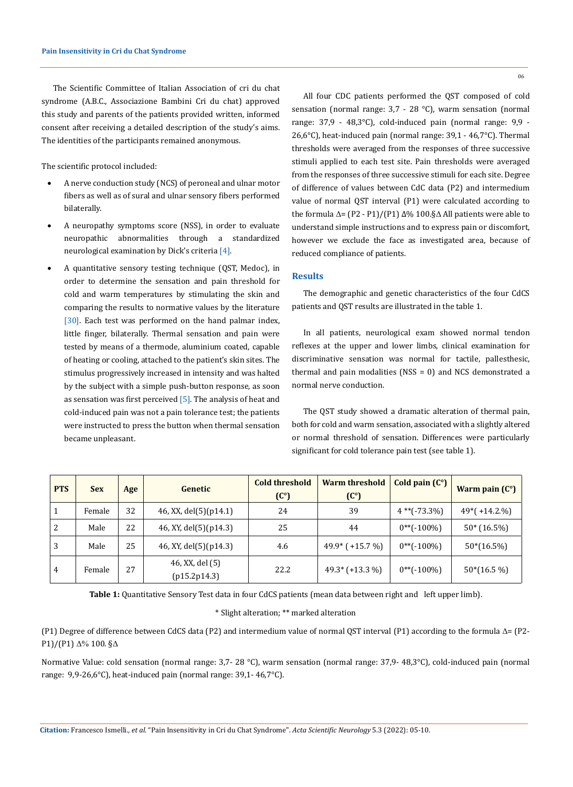The Scientific Committee of Italian Association of cri du chat syndrome (A.B.C., Associazione Bambini Cri du chat) approved this study and parents of the patients provided written, informed consent after receiving a detailed description of the study's aims. The identities of the participants remained anonymous.

The scientific protocol included:

- A nerve conduction study (NCS) of peroneal and ulnar motor fibers as well as of sural and ulnar sensory fibers performed bilaterally.
- A neuropathy symptoms score (NSS), in order to evaluate neuropathic abnormalities through a standardized neurological examination by Dick's criteria [4].
- A quantitative sensory testing technique (QST, Medoc), in order to determine the sensation and pain threshold for cold and warm temperatures by stimulating the skin and comparing the results to normative values by the literature [30]. Each test was performed on the hand palmar index, little finger, bilaterally. Thermal sensation and pain were tested by means of a thermode, aluminium coated, capable of heating or cooling, attached to the patient's skin sites. The stimulus progressively increased in intensity and was halted by the subject with a simple push-button response, as soon as sensation was first perceived  $[5]$ . The analysis of heat and cold-induced pain was not a pain tolerance test; the patients were instructed to press the button when thermal sensation became unpleasant.

All four CDC patients performed the QST composed of cold sensation (normal range: 3,7 - 28 °C), warm sensation (normal range: 37,9 - 48,3°C), cold-induced pain (normal range: 9,9 - 26,6°C), heat-induced pain (normal range: 39,1 - 46,7°C). Thermal thresholds were averaged from the responses of three successive stimuli applied to each test site. Pain thresholds were averaged from the responses of three successive stimuli for each site. Degree of difference of values between CdC data (P2) and intermedium value of normal QST interval (P1) were calculated according to the formula  $Δ = (P2 - P1)/(P1) Δ% 100.§Δ All patients were able to$ understand simple instructions and to express pain or discomfort, however we exclude the face as investigated area, because of reduced compliance of patients.

#### **Results**

The demographic and genetic characteristics of the four CdCS patients and QST results are illustrated in the table 1.

In all patients, neurological exam showed normal tendon reflexes at the upper and lower limbs, clinical examination for discriminative sensation was normal for tactile, pallesthesic, thermal and pain modalities (NSS = 0) and NCS demonstrated a normal nerve conduction.

The QST study showed a dramatic alteration of thermal pain, both for cold and warm sensation, associated with a slightly altered or normal threshold of sensation. Differences were particularly significant for cold tolerance pain test (see table 1).

| <b>PTS</b> | <b>Sex</b> | Age | Genetic                         | <b>Cold threshold</b><br>(C <sup>o</sup> ) | <b>Warm threshold</b><br>(C <sup>o</sup> ) | Cold pain $(C^{\circ})$ | Warm pain $(C^{\circ})$ |
|------------|------------|-----|---------------------------------|--------------------------------------------|--------------------------------------------|-------------------------|-------------------------|
|            | Female     | 32  | 46, XX, del(5)(p14.1)           | 24                                         | 39                                         | $4$ **(-73.3%)          | $49*(+14.2\%)$          |
| 2          | Male       | 22  | 46, XY, del(5)(p14.3)           | 25                                         | 44                                         | $0^{**}(-100\%)$        | $50*(16.5%)$            |
| 3          | Male       | 25  | 46, XY, del(5)(p14.3)           | 4.6                                        | $49.9*$ (+15.7 %)                          | $0^{**}(-100\%)$        | $50*(16.5%)$            |
| 4          | Female     | 27  | 46, XX, del (5)<br>(p15.2p14.3) | 22.2                                       | $49.3*(+13.3%)$                            | $0^{**}(-100\%)$        | $50*(16.5\%)$           |

**Table 1:** Quantitative Sensory Test data in four CdCS patients (mean data between right and left upper limb).

### \* Slight alteration; \*\* marked alteration

(P1) Degree of difference between CdCS data (P2) and intermedium value of normal QST interval (P1) according to the formula  $\Delta =$  (P2-P1)/(P1) Δ% 100. §Δ

Normative Value: cold sensation (normal range: 3,7- 28 °C), warm sensation (normal range: 37,9- 48,3°C), cold-induced pain (normal range: 9,9-26,6°C), heat-induced pain (normal range: 39,1- 46,7°C).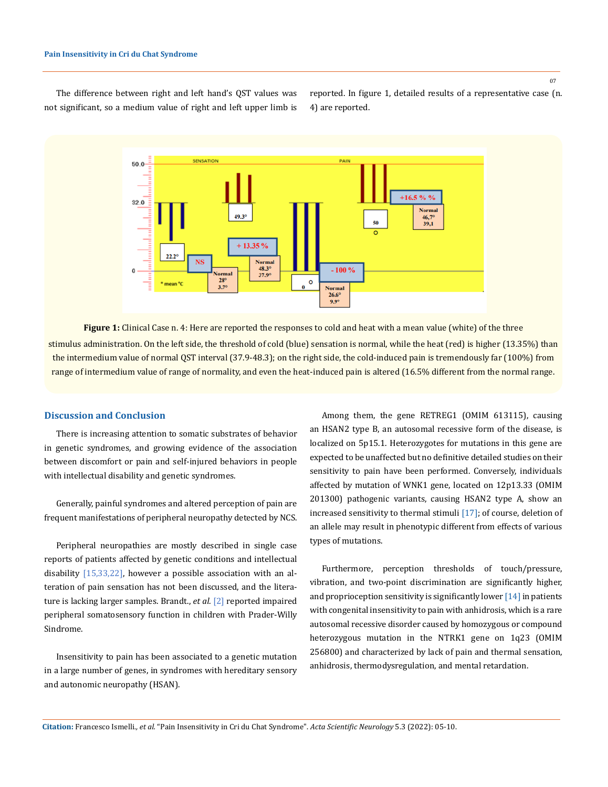The difference between right and left hand's QST values was not significant, so a medium value of right and left upper limb is reported. In figure 1, detailed results of a representative case (n. 4) are reported.



**Figure 1:** Clinical Case n. 4: Here are reported the responses to cold and heat with a mean value (white) of the three stimulus administration. On the left side, the threshold of cold (blue) sensation is normal, while the heat (red) is higher (13.35%) than the intermedium value of normal QST interval (37.9-48.3); on the right side, the cold-induced pain is tremendously far (100%) from range of intermedium value of range of normality, and even the heat-induced pain is altered (16.5% different from the normal range.

### **Discussion and Conclusion**

There is increasing attention to somatic substrates of behavior in genetic syndromes, and growing evidence of the association between discomfort or pain and self-injured behaviors in people with intellectual disability and genetic syndromes.

Generally, painful syndromes and altered perception of pain are frequent manifestations of peripheral neuropathy detected by NCS.

Peripheral neuropathies are mostly described in single case reports of patients affected by genetic conditions and intellectual disability [15,33,22], however a possible association with an alteration of pain sensation has not been discussed, and the literature is lacking larger samples. Brandt., *et al.* [2] reported impaired peripheral somatosensory function in children with Prader-Willy Sindrome.

Insensitivity to pain has been associated to a genetic mutation in a large number of genes, in syndromes with hereditary sensory and autonomic neuropathy (HSAN).

Among them, the gene RETREG1 (OMIM 613115), causing an HSAN2 type B, an autosomal recessive form of the disease, is localized on 5p15.1. Heterozygotes for mutations in this gene are expected to be unaffected but no definitive detailed studies on their sensitivity to pain have been performed. Conversely, individuals affected by mutation of WNK1 gene, located on 12p13.33 (OMIM 201300) pathogenic variants, causing HSAN2 type A, show an increased sensitivity to thermal stimuli [17]; of course, deletion of an allele may result in phenotypic different from effects of various types of mutations.

Furthermore, perception thresholds of touch/pressure, vibration, and two-point discrimination are significantly higher, and proprioception sensitivity is significantly lower [14] in patients with congenital insensitivity to pain with anhidrosis, which is a rare autosomal recessive disorder caused by homozygous or compound heterozygous mutation in the NTRK1 gene on 1q23 (OMIM 256800) and characterized by lack of pain and thermal sensation, anhidrosis, thermodysregulation, and mental retardation.

**Citation:** Francesco Ismelli*., et al.* "Pain Insensitivity in Cri du Chat Syndrome". *Acta Scientific Neurology* 5.3 (2022): 05-10.

07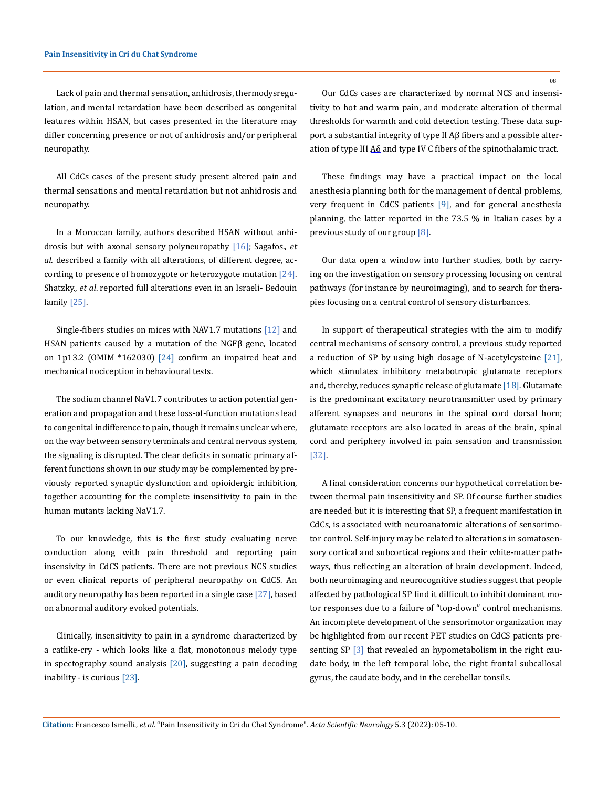Lack of pain and thermal sensation, anhidrosis, thermodysregulation, and mental retardation have been described as congenital features within HSAN, but cases presented in the literature may differ concerning presence or not of anhidrosis and/or peripheral neuropathy.

All CdCs cases of the present study present altered pain and thermal sensations and mental retardation but not anhidrosis and neuropathy.

In a Moroccan family, authors described HSAN without anhidrosis but with axonal sensory polyneuropathy [16]; Sagafos., *et al*. described a family with all alterations, of different degree, according to presence of homozygote or heterozygote mutation  $[24]$ . Shatzky., *et al*. reported full alterations even in an Israeli- Bedouin family [25].

Single-fibers studies on mices with NAV1.7 mutations [12] and HSAN patients caused by a mutation of the NGFβ gene, located on 1p13.2 (OMIM  $*162030$ )  $[24]$  confirm an impaired heat and mechanical nociception in behavioural tests.

The sodium channel NaV1.7 contributes to action potential generation and propagation and these loss-of-function mutations lead to congenital indifference to pain, though it remains unclear where, on the way between sensory terminals and central nervous system, the signaling is disrupted. The clear deficits in somatic primary afferent functions shown in our study may be complemented by previously reported synaptic dysfunction and opioidergic inhibition, together accounting for the complete insensitivity to pain in the human mutants lacking NaV1.7.

To our knowledge, this is the first study evaluating nerve conduction along with pain threshold and reporting pain insensivity in CdCS patients. There are not previous NCS studies or even clinical reports of peripheral neuropathy on CdCS. An auditory neuropathy has been reported in a single case [27], based on abnormal auditory evoked potentials.

Clinically, insensitivity to pain in a syndrome characterized by a catlike-cry - which looks like a flat, monotonous melody type in spectography sound analysis  $[20]$ , suggesting a pain decoding inability - is curious [23].

08

Our CdCs cases are characterized by normal NCS and insensitivity to hot and warm pain, and moderate alteration of thermal thresholds for warmth and cold detection testing. These data support a substantial integrity of type II Aβ fibers and a possible alteration of type III  $\Delta\delta$  and type IV C fibers of the spinothalamic tract.

These findings may have a practical impact on the local anesthesia planning both for the management of dental problems, very frequent in CdCS patients [9], and for general anesthesia planning, the latter reported in the 73.5 % in Italian cases by a previous study of our group [8].

Our data open a window into further studies, both by carrying on the investigation on sensory processing focusing on central pathways (for instance by neuroimaging), and to search for therapies focusing on a central control of sensory disturbances.

In support of therapeutical strategies with the aim to modify central mechanisms of sensory control, a previous study reported a reduction of SP by using high dosage of N-acetylcysteine [21], which stimulates inhibitory metabotropic glutamate receptors and, thereby, reduces synaptic release of glutamate [18]*.* Glutamate is the predominant excitatory neurotransmitter used by primary afferent synapses and neurons in the spinal cord dorsal horn; glutamate receptors are also located in areas of the brain, spinal cord and periphery involved in pain sensation and transmission [32].

A final consideration concerns our hypothetical correlation between thermal pain insensitivity and SP. Of course further studies are needed but it is interesting that SP, a frequent manifestation in CdCs, is associated with neuroanatomic alterations of sensorimotor control. Self-injury may be related to alterations in somatosensory cortical and subcortical regions and their white-matter pathways, thus reflecting an alteration of brain development. Indeed, both neuroimaging and neurocognitive studies suggest that people affected by pathological SP find it difficult to inhibit dominant motor responses due to a failure of "top-down" control mechanisms. An incomplete development of the sensorimotor organization may be highlighted from our recent PET studies on CdCS patients presenting SP [3] that revealed an hypometabolism in the right caudate body, in the left temporal lobe, the right frontal subcallosal gyrus, the caudate body, and in the cerebellar tonsils.

**Citation:** Francesco Ismelli*., et al.* "Pain Insensitivity in Cri du Chat Syndrome". *Acta Scientific Neurology* 5.3 (2022): 05-10.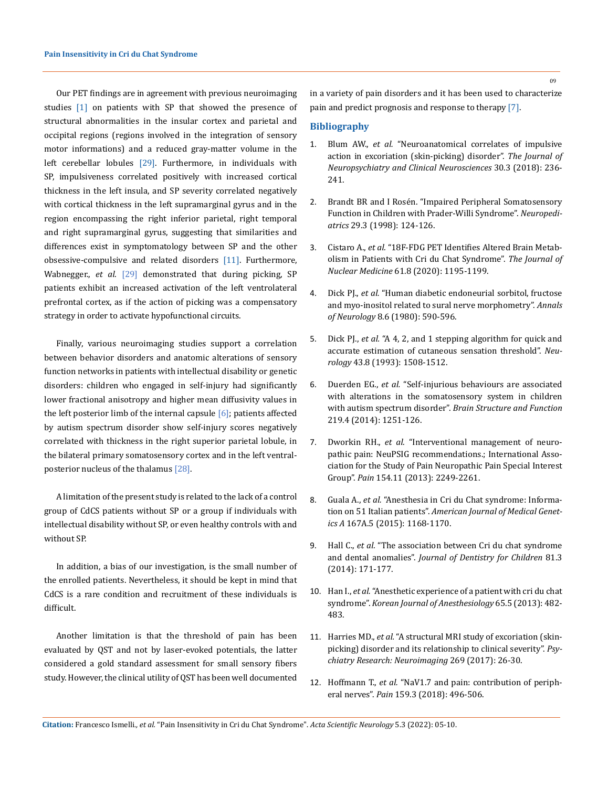Our PET findings are in agreement with previous neuroimaging studies [1] on patients with SP that showed the presence of structural abnormalities in the insular cortex and parietal and occipital regions (regions involved in the integration of sensory motor informations) and a reduced gray-matter volume in the left cerebellar lobules [29]. Furthermore, in individuals with SP, impulsiveness correlated positively with increased cortical thickness in the left insula, and SP severity correlated negatively with cortical thickness in the left supramarginal gyrus and in the region encompassing the right inferior parietal, right temporal and right supramarginal gyrus, suggesting that similarities and differences exist in symptomatology between SP and the other obsessive-compulsive and related disorders [11]. Furthermore, Wabnegger., *et al*. [29] demonstrated that during picking, SP patients exhibit an increased activation of the left ventrolateral prefrontal cortex, as if the action of picking was a compensatory strategy in order to activate hypofunctional circuits.

Finally, various neuroimaging studies support a correlation between behavior disorders and anatomic alterations of sensory function networks in patients with intellectual disability or genetic disorders: children who engaged in self-injury had significantly lower fractional anisotropy and higher mean diffusivity values in the left posterior limb of the internal capsule  $[6]$ ; patients affected by autism spectrum disorder show self-injury scores negatively correlated with thickness in the right superior parietal lobule, in the bilateral primary somatosensory cortex and in the left ventralposterior nucleus of the thalamus [28].

A limitation of the present study is related to the lack of a control group of CdCS patients without SP or a group if individuals with intellectual disability without SP, or even healthy controls with and without SP.

In addition, a bias of our investigation, is the small number of the enrolled patients. Nevertheless, it should be kept in mind that CdCS is a rare condition and recruitment of these individuals is difficult.

Another limitation is that the threshold of pain has been evaluated by QST and not by laser-evoked potentials, the latter considered a gold standard assessment for small sensory fibers study. However, the clinical utility of QST has been well documented

in a variety of pain disorders and it has been used to characterize pain and predict prognosis and response to therapy [7].

#### **Bibliography**

- 1. Blum AW., *et al.* ["Neuroanatomical correlates of impulsive](https://pubmed.ncbi.nlm.nih.gov/29685064/) [action in excoriation \(skin-picking\) disorder".](https://pubmed.ncbi.nlm.nih.gov/29685064/) *The Journal of [Neuropsychiatry and Clinical Neurosciences](https://pubmed.ncbi.nlm.nih.gov/29685064/)* 30.3 (2018): 236- [241.](https://pubmed.ncbi.nlm.nih.gov/29685064/)
- 2. [Brandt BR and I Rosén. "Impaired Peripheral Somatosensory](https://pubmed.ncbi.nlm.nih.gov/9706621/) [Function in Children with Prader-Willi Syndrome".](https://pubmed.ncbi.nlm.nih.gov/9706621/) *Neuropediatrics* [29.3 \(1998\): 124-126.](https://pubmed.ncbi.nlm.nih.gov/9706621/)
- 3. Cistaro A., *et al.* ["18F-FDG PET Identifies Altered Brain Metab](https://pubmed.ncbi.nlm.nih.gov/31836684/)[olism in Patients with Cri du Chat Syndrome".](https://pubmed.ncbi.nlm.nih.gov/31836684/) *The Journal of Nuclear Medicine* [61.8 \(2020\): 1195-1199.](https://pubmed.ncbi.nlm.nih.gov/31836684/)
- 4. Dick PJ., *et al.* ["Human diabetic endoneurial sorbitol, fructose](https://pubmed.ncbi.nlm.nih.gov/7212646/) [and myo-inositol related to sural nerve morphometry".](https://pubmed.ncbi.nlm.nih.gov/7212646/) *Annals of Neurology* [8.6 \(1980\): 590-596.](https://pubmed.ncbi.nlm.nih.gov/7212646/)
- 5. Dick PJ., *et al.* ["A 4, 2, and 1 stepping algorithm for quick and](https://pubmed.ncbi.nlm.nih.gov/8351003/) [accurate estimation of cutaneous sensation threshold".](https://pubmed.ncbi.nlm.nih.gov/8351003/) *Neurology* [43.8 \(1993\): 1508-1512.](https://pubmed.ncbi.nlm.nih.gov/8351003/)
- 6. Duerden EG., *et al.* ["Self-injurious behaviours are associated](https://pubmed.ncbi.nlm.nih.gov/23644587/) [with alterations in the somatosensory system in children](https://pubmed.ncbi.nlm.nih.gov/23644587/) [with autism spectrum disorder".](https://pubmed.ncbi.nlm.nih.gov/23644587/) *Brain Structure and Function*  [219.4 \(2014\): 1251-126.](https://pubmed.ncbi.nlm.nih.gov/23644587/)
- 7. Dworkin RH., *et al.* ["Interventional management of neuro](https://pubmed.ncbi.nlm.nih.gov/23748119/)[pathic pain: NeuPSIG recommendations.; International Asso](https://pubmed.ncbi.nlm.nih.gov/23748119/)[ciation for the Study of Pain Neuropathic Pain Special Interest](https://pubmed.ncbi.nlm.nih.gov/23748119/) Group". *Pain* [154.11 \(2013\): 2249-2261.](https://pubmed.ncbi.nlm.nih.gov/23748119/)
- 8. Guala A., *et al.* ["Anesthesia in Cri du Chat syndrome: Informa](https://pubmed.ncbi.nlm.nih.gov/25820652/)tion on 51 Italian patients". *[American Journal of Medical Genet](https://pubmed.ncbi.nlm.nih.gov/25820652/)ics A* [167A.5 \(2015\): 1168-1170.](https://pubmed.ncbi.nlm.nih.gov/25820652/)
- 9. Hall C., *et al.* ["The association between Cri du chat syndrome](https://pubmed.ncbi.nlm.nih.gov/25514263/) and dental anomalies". *[Journal of Dentistry for Children](https://pubmed.ncbi.nlm.nih.gov/25514263/)* 81.3 [\(2014\): 171-177.](https://pubmed.ncbi.nlm.nih.gov/25514263/)
- 10. Han I., *et al.* ["Anesthetic experience of a patient with cri du chat](https://www.ncbi.nlm.nih.gov/pmc/articles/PMC3866351/)  syndrome". *[Korean Journal of Anesthesiology](https://www.ncbi.nlm.nih.gov/pmc/articles/PMC3866351/)* 65.5 (2013): 482- [483.](https://www.ncbi.nlm.nih.gov/pmc/articles/PMC3866351/)
- 11. Harries MD., *et al.* ["A structural MRI study of excoriation \(skin](https://pubmed.ncbi.nlm.nih.gov/28918268/)[picking\) disorder and its relationship to clinical severity".](https://pubmed.ncbi.nlm.nih.gov/28918268/) *Psy[chiatry Research: Neuroimaging](https://pubmed.ncbi.nlm.nih.gov/28918268/)* 269 (2017): 26-30.
- 12. Hoffmann T., *et al.* ["NaV1.7 and pain: contribution of periph](https://pubmed.ncbi.nlm.nih.gov/29194125/)eral nerves". *Pain* [159.3 \(2018\): 496-506.](https://pubmed.ncbi.nlm.nih.gov/29194125/)

**Citation:** Francesco Ismelli*., et al.* "Pain Insensitivity in Cri du Chat Syndrome". *Acta Scientific Neurology* 5.3 (2022): 05-10.

09